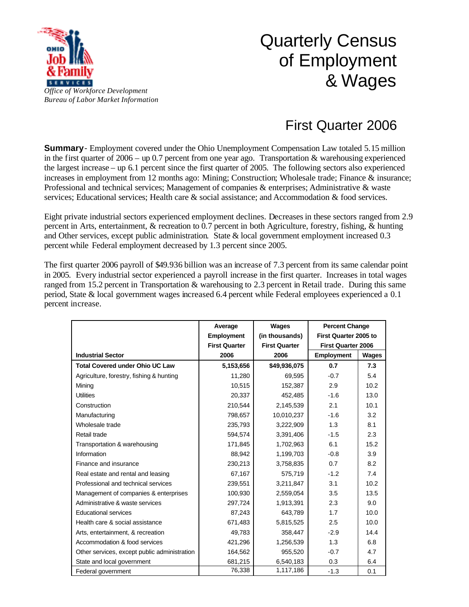

## Quarterly Census of Employment & Wages

## First Quarter 2006

**Summary**- Employment covered under the Ohio Unemployment Compensation Law totaled 5.15 million in the first quarter of  $2006 -$  up 0.7 percent from one year ago. Transportation & warehousing experienced the largest increase – up 6.1 percent since the first quarter of 2005. The following sectors also experienced increases in employment from 12 months ago: Mining; Construction; Wholesale trade; Finance & insurance; Professional and technical services; Management of companies & enterprises; Administrative & waste services; Educational services; Health care & social assistance; and Accommodation & food services.

Eight private industrial sectors experienced employment declines. Decreases in these sectors ranged from 2.9 percent in Arts, entertainment, & recreation to 0.7 percent in both Agriculture, forestry, fishing, & hunting and Other services, except public administration. State & local government employment increased 0.3 percent while Federal employment decreased by 1.3 percent since 2005.

The first quarter 2006 payroll of \$49.936 billion was an increase of 7.3 percent from its same calendar point in 2005. Every industrial sector experienced a payroll increase in the first quarter. Increases in total wages ranged from 15.2 percent in Transportation & warehousing to 2.3 percent in Retail trade. During this same period, State & local government wages increased 6.4 percent while Federal employees experienced a 0.1 percent increase.

|                                              | Average              | Wages                | <b>Percent Change</b>     |       |
|----------------------------------------------|----------------------|----------------------|---------------------------|-------|
|                                              | <b>Employment</b>    | (in thousands)       | First Quarter 2005 to     |       |
|                                              | <b>First Quarter</b> | <b>First Quarter</b> | <b>First Quarter 2006</b> |       |
| <b>Industrial Sector</b>                     | 2006                 | 2006                 | <b>Employment</b>         | Wages |
| <b>Total Covered under Ohio UC Law</b>       | 5,153,656            | \$49,936,075         | 0.7                       | 7.3   |
| Agriculture, forestry, fishing & hunting     | 11,280               | 69.595               | $-0.7$                    | 5.4   |
| Mining                                       | 10,515               | 152,387              | 2.9                       | 10.2  |
| <b>Utilities</b>                             | 20,337               | 452,485              | $-1.6$                    | 13.0  |
| Construction                                 | 210,544              | 2,145,539            | 2.1                       | 10.1  |
| Manufacturing                                | 798,657              | 10,010,237           | $-1.6$                    | 3.2   |
| Wholesale trade                              | 235,793              | 3,222,909            | 1.3                       | 8.1   |
| Retail trade                                 | 594,574              | 3,391,406            | $-1.5$                    | 2.3   |
| Transportation & warehousing                 | 171,845              | 1,702,963            | 6.1                       | 15.2  |
| Information                                  | 88,942               | 1,199,703            | $-0.8$                    | 3.9   |
| Finance and insurance                        | 230,213              | 3,758,835            | 0.7                       | 8.2   |
| Real estate and rental and leasing           | 67,167               | 575,719              | $-1.2$                    | 7.4   |
| Professional and technical services          | 239,551              | 3,211,847            | 3.1                       | 10.2  |
| Management of companies & enterprises        | 100,930              | 2,559,054            | 3.5                       | 13.5  |
| Administrative & waste services              | 297,724              | 1,913,391            | 2.3                       | 9.0   |
| Educational services                         | 87,243               | 643,789              | 1.7                       | 10.0  |
| Health care & social assistance              | 671,483              | 5,815,525            | 2.5                       | 10.0  |
| Arts, entertainment, & recreation            | 49,783               | 358,447              | $-2.9$                    | 14.4  |
| Accommodation & food services                | 421,296              | 1,256,539            | 1.3                       | 6.8   |
| Other services, except public administration | 164,562              | 955,520              | $-0.7$                    | 4.7   |
| State and local government                   | 681,215              | 6,540,183            | 0.3                       | 6.4   |
| Federal government                           | 76,338               | 1,117,186            | $-1.3$                    | 0.1   |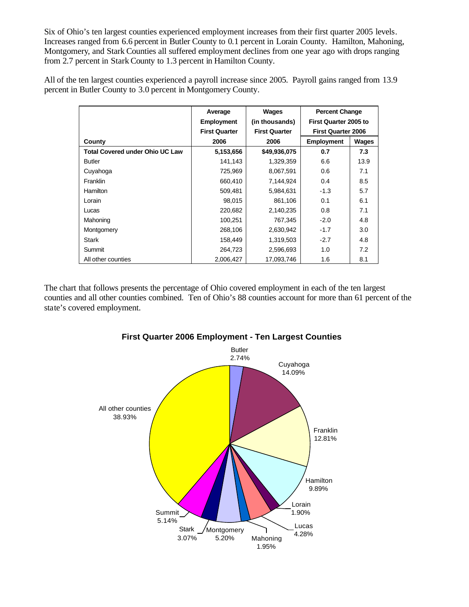Six of Ohio's ten largest counties experienced employment increases from their first quarter 2005 levels. Increases ranged from 6.6 percent in Butler County to 0.1 percent in Lorain County. Hamilton, Mahoning, Montgomery, and Stark Counties all suffered employment declines from one year ago with drops ranging from 2.7 percent in Stark County to 1.3 percent in Hamilton County.

All of the ten largest counties experienced a payroll increase since 2005. Payroll gains ranged from 13.9 percent in Butler County to 3.0 percent in Montgomery County.

|                                        | Average              | Wages                | <b>Percent Change</b>     |       |
|----------------------------------------|----------------------|----------------------|---------------------------|-------|
|                                        | <b>Employment</b>    | (in thousands)       | First Quarter 2005 to     |       |
|                                        | <b>First Quarter</b> | <b>First Quarter</b> | <b>First Quarter 2006</b> |       |
| County                                 | 2006                 | 2006                 | <b>Employment</b>         | Wages |
| <b>Total Covered under Ohio UC Law</b> | 5,153,656            | \$49,936,075         | 0.7                       | 7.3   |
| <b>Butler</b>                          | 141,143              | 1,329,359            | 6.6                       | 13.9  |
| Cuyahoga                               | 725,969              | 8,067,591            | 0.6                       | 7.1   |
| Franklin                               | 660,410              | 7,144,924            | 0.4                       | 8.5   |
| Hamilton                               | 509,481              | 5,984,631            | $-1.3$                    | 5.7   |
| Lorain                                 | 98,015               | 861,106              | 0.1                       | 6.1   |
| Lucas                                  | 220,682              | 2,140,235            | 0.8                       | 7.1   |
| Mahoning                               | 100,251              | 767,345              | $-2.0$                    | 4.8   |
| Montgomery                             | 268,106              | 2,630,942            | $-1.7$                    | 3.0   |
| Stark                                  | 158,449              | 1,319,503            | $-2.7$                    | 4.8   |
| Summit                                 | 264,723              | 2,596,693            | 1.0                       | 7.2   |
| All other counties                     | 2,006,427            | 17,093,746           | 1.6                       | 8.1   |

The chart that follows presents the percentage of Ohio covered employment in each of the ten largest counties and all other counties combined. Ten of Ohio's 88 counties account for more than 61 percent of the state's covered employment.



## **First Quarter 2006 Employment - Ten Largest Counties**